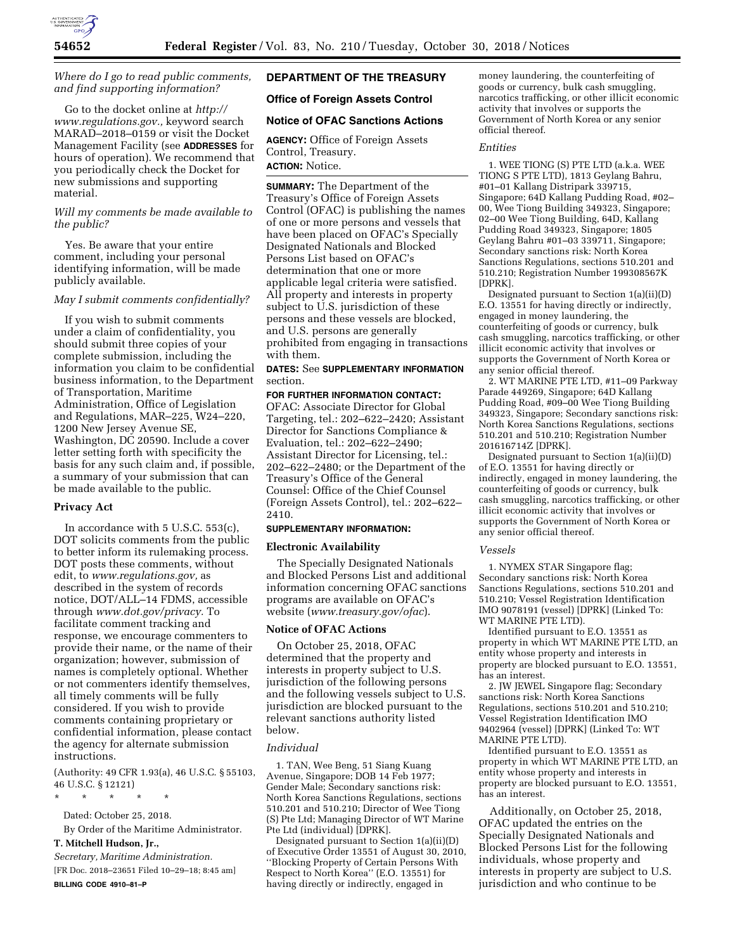

# *Where do I go to read public comments, and find supporting information?*

Go to the docket online at *[http://](http://www.regulations.gov) [www.regulations.gov.,](http://www.regulations.gov)* keyword search MARAD–2018–0159 or visit the Docket Management Facility (see **ADDRESSES** for hours of operation). We recommend that you periodically check the Docket for new submissions and supporting material.

# *Will my comments be made available to the public?*

Yes. Be aware that your entire comment, including your personal identifying information, will be made publicly available.

### *May I submit comments confidentially?*

If you wish to submit comments under a claim of confidentiality, you should submit three copies of your complete submission, including the information you claim to be confidential business information, to the Department of Transportation, Maritime Administration, Office of Legislation and Regulations, MAR–225, W24–220, 1200 New Jersey Avenue SE, Washington, DC 20590. Include a cover letter setting forth with specificity the basis for any such claim and, if possible, a summary of your submission that can be made available to the public.

#### **Privacy Act**

In accordance with 5 U.S.C. 553(c), DOT solicits comments from the public to better inform its rulemaking process. DOT posts these comments, without edit, to *[www.regulations.gov,](http://www.regulations.gov)* as described in the system of records notice, DOT/ALL–14 FDMS, accessible through *[www.dot.gov/privacy.](http://www.dot.gov/privacy)* To facilitate comment tracking and response, we encourage commenters to provide their name, or the name of their organization; however, submission of names is completely optional. Whether or not commenters identify themselves, all timely comments will be fully considered. If you wish to provide comments containing proprietary or confidential information, please contact the agency for alternate submission instructions.

(Authority: 49 CFR 1.93(a), 46 U.S.C. § 55103, 46 U.S.C. § 12121)

\* \* \* \* \*

Dated: October 25, 2018.

By Order of the Maritime Administrator.

# **T. Mitchell Hudson, Jr.,**

*Secretary, Maritime Administration.*  [FR Doc. 2018–23651 Filed 10–29–18; 8:45 am] **BILLING CODE 4910–81–P** 

# **DEPARTMENT OF THE TREASURY**

# **Office of Foreign Assets Control**

# **Notice of OFAC Sanctions Actions**

**AGENCY:** Office of Foreign Assets Control, Treasury.

# **ACTION:** Notice.

**SUMMARY:** The Department of the Treasury's Office of Foreign Assets Control (OFAC) is publishing the names of one or more persons and vessels that have been placed on OFAC's Specially Designated Nationals and Blocked Persons List based on OFAC's determination that one or more applicable legal criteria were satisfied. All property and interests in property subject to U.S. jurisdiction of these persons and these vessels are blocked, and U.S. persons are generally prohibited from engaging in transactions with them.

# **DATES:** See **SUPPLEMENTARY INFORMATION** section.

### **FOR FURTHER INFORMATION CONTACT:**

OFAC: Associate Director for Global Targeting, tel.: 202–622–2420; Assistant Director for Sanctions Compliance & Evaluation, tel.: 202–622–2490; Assistant Director for Licensing, tel.: 202–622–2480; or the Department of the Treasury's Office of the General Counsel: Office of the Chief Counsel (Foreign Assets Control), tel.: 202–622– 2410.

#### **SUPPLEMENTARY INFORMATION:**

#### **Electronic Availability**

The Specially Designated Nationals and Blocked Persons List and additional information concerning OFAC sanctions programs are available on OFAC's website (*[www.treasury.gov/ofac](http://www.treasury.gov/ofac)*).

#### **Notice of OFAC Actions**

On October 25, 2018, OFAC determined that the property and interests in property subject to U.S. jurisdiction of the following persons and the following vessels subject to U.S. jurisdiction are blocked pursuant to the relevant sanctions authority listed below.

#### *Individual*

1. TAN, Wee Beng, 51 Siang Kuang Avenue, Singapore; DOB 14 Feb 1977; Gender Male; Secondary sanctions risk: North Korea Sanctions Regulations, sections 510.201 and 510.210; Director of Wee Tiong (S) Pte Ltd; Managing Director of WT Marine Pte Ltd (individual) [DPRK].

Designated pursuant to Section 1(a)(ii)(D) of Executive Order 13551 of August 30, 2010, ''Blocking Property of Certain Persons With Respect to North Korea'' (E.O. 13551) for having directly or indirectly, engaged in

money laundering, the counterfeiting of goods or currency, bulk cash smuggling, narcotics trafficking, or other illicit economic activity that involves or supports the Government of North Korea or any senior official thereof.

#### *Entities*

1. WEE TIONG (S) PTE LTD (a.k.a. WEE TIONG S PTE LTD), 1813 Geylang Bahru, #01–01 Kallang Distripark 339715, Singapore; 64D Kallang Pudding Road, #02– 00, Wee Tiong Building 349323, Singapore; 02–00 Wee Tiong Building, 64D, Kallang Pudding Road 349323, Singapore; 1805 Geylang Bahru #01–03 339711, Singapore; Secondary sanctions risk: North Korea Sanctions Regulations, sections 510.201 and 510.210; Registration Number 199308567K [DPRK].

Designated pursuant to Section 1(a)(ii)(D) E.O. 13551 for having directly or indirectly, engaged in money laundering, the counterfeiting of goods or currency, bulk cash smuggling, narcotics trafficking, or other illicit economic activity that involves or supports the Government of North Korea or any senior official thereof.

2. WT MARINE PTE LTD, #11–09 Parkway Parade 449269, Singapore; 64D Kallang Pudding Road, #09–00 Wee Tiong Building 349323, Singapore; Secondary sanctions risk: North Korea Sanctions Regulations, sections 510.201 and 510.210; Registration Number 201616714Z [DPRK].

Designated pursuant to Section 1(a)(ii)(D) of E.O. 13551 for having directly or indirectly, engaged in money laundering, the counterfeiting of goods or currency, bulk cash smuggling, narcotics trafficking, or other illicit economic activity that involves or supports the Government of North Korea or any senior official thereof.

#### *Vessels*

1. NYMEX STAR Singapore flag; Secondary sanctions risk: North Korea Sanctions Regulations, sections 510.201 and 510.210; Vessel Registration Identification IMO 9078191 (vessel) [DPRK] (Linked To: WT MARINE PTE LTD).

Identified pursuant to E.O. 13551 as property in which WT MARINE PTE LTD, an entity whose property and interests in property are blocked pursuant to E.O. 13551, has an interest.

2. JW JEWEL Singapore flag; Secondary sanctions risk: North Korea Sanctions Regulations, sections 510.201 and 510.210; Vessel Registration Identification IMO 9402964 (vessel) [DPRK] (Linked To: WT MARINE PTE LTD).

Identified pursuant to E.O. 13551 as property in which WT MARINE PTE LTD, an entity whose property and interests in property are blocked pursuant to E.O. 13551, has an interest.

Additionally, on October 25, 2018, OFAC updated the entries on the Specially Designated Nationals and Blocked Persons List for the following individuals, whose property and interests in property are subject to U.S. jurisdiction and who continue to be